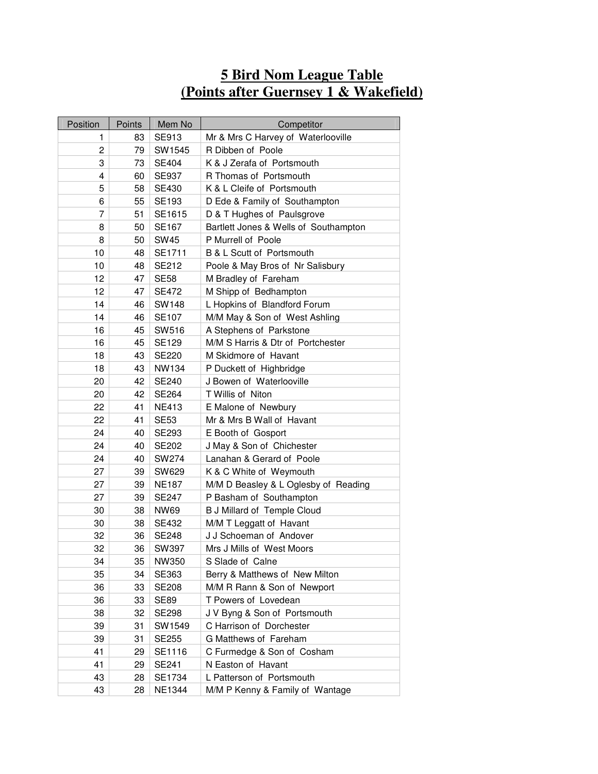## **5 Bird Nom League Table (Points after Guernsey 1 & Wakefield)**

| Position     | Points | Mem No        | Competitor                            |
|--------------|--------|---------------|---------------------------------------|
| 1            | 83     | SE913         | Mr & Mrs C Harvey of Waterlooville    |
| $\mathbf{2}$ | 79     | SW1545        | R Dibben of Poole                     |
| 3            | 73     | SE404         | K & J Zerafa of Portsmouth            |
| 4            | 60     | <b>SE937</b>  | R Thomas of Portsmouth                |
| 5            | 58     | SE430         | K & L Cleife of Portsmouth            |
| 6            | 55     | SE193         | D Ede & Family of Southampton         |
| 7            | 51     | SE1615        | D & T Hughes of Paulsgrove            |
| 8            | 50     | SE167         | Bartlett Jones & Wells of Southampton |
| 8            | 50     | <b>SW45</b>   | P Murrell of Poole                    |
| 10           | 48     | SE1711        | B & L Scutt of Portsmouth             |
| 10           | 48     | SE212         | Poole & May Bros of Nr Salisbury      |
| 12           | 47     | <b>SE58</b>   | M Bradley of Fareham                  |
| 12           | 47     | SE472         | M Shipp of Bedhampton                 |
| 14           | 46     | <b>SW148</b>  | L Hopkins of Blandford Forum          |
| 14           | 46     | <b>SE107</b>  | M/M May & Son of West Ashling         |
| 16           | 45     | SW516         | A Stephens of Parkstone               |
| 16           | 45     | SE129         | M/M S Harris & Dtr of Portchester     |
| 18           | 43     | SE220         | M Skidmore of Havant                  |
| 18           | 43     | NW134         | P Duckett of Highbridge               |
| 20           | 42     | <b>SE240</b>  | J Bowen of Waterlooville              |
| 20           | 42     | SE264         | T Willis of Niton                     |
| 22           | 41     | <b>NE413</b>  | E Malone of Newbury                   |
| 22           | 41     | <b>SE53</b>   | Mr & Mrs B Wall of Havant             |
| 24           | 40     | SE293         | E Booth of Gosport                    |
| 24           | 40     | SE202         | J May & Son of Chichester             |
| 24           | 40     | SW274         | Lanahan & Gerard of Poole             |
| 27           | 39     | SW629         | K & C White of Weymouth               |
| 27           | 39     | <b>NE187</b>  | M/M D Beasley & L Oglesby of Reading  |
| 27           | 39     | SE247         | P Basham of Southampton               |
| 30           | 38     | <b>NW69</b>   | <b>B J Millard of Temple Cloud</b>    |
| 30           | 38     | SE432         | M/M T Leggatt of Havant               |
| 32           | 36     | SE248         | J J Schoeman of Andover               |
| 32           | 36     | SW397         | Mrs J Mills of West Moors             |
| 34           | 35     | NW350         | S Slade of Calne                      |
| 35           | 34     | SE363         | Berry & Matthews of New Milton        |
| 36           | 33     | <b>SE208</b>  | M/M R Rann & Son of Newport           |
| 36           | 33     | <b>SE89</b>   | T Powers of Lovedean                  |
| 38           | 32     | <b>SE298</b>  | J V Byng & Son of Portsmouth          |
| 39           | 31     | SW1549        | C Harrison of Dorchester              |
| 39           | 31     | SE255         | G Matthews of Fareham                 |
| 41           | 29     | SE1116        | C Furmedge & Son of Cosham            |
| 41           | 29     | SE241         | N Easton of Havant                    |
| 43           | 28     | SE1734        | L Patterson of Portsmouth             |
| 43           | 28     | <b>NE1344</b> | M/M P Kenny & Family of Wantage       |